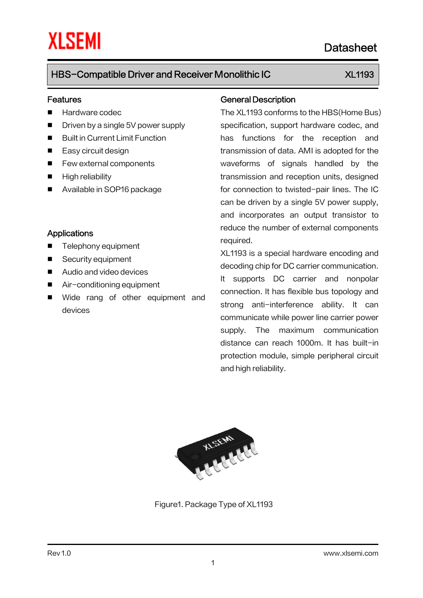### Features

- **Hardware codec**
- Driven by a single 5V power supply
- **Built in Current Limit Function**
- Easy circuit design
- **Few external components**
- **High reliability**
- Available in SOP16 package

### **Applications**

- Telephony equipment
- Security equipment
- Audio and video devices
- Air-conditioning equipment
- **Notal** Wide rang of other equipment and devices

### General Description

The XL1193 conforms to the HBS(Home Bus) specification, support hardware codec, and has functions for the reception and transmission of data. AMI is adopted for the waveforms of signals handled by the transmission and reception units, designed for connection to twisted-pair lines. The IC can be driven by a single 5V power supply, and incorporates an output transistor to reduce the number of external components required.

XL1193 is a special hardware encoding and decoding chip for DC carrier communication. It supports DC carrier and nonpolar connection. It has flexible bus topology and strong anti-interference ability. It can communicate while power line carrier power supply. The maximum communication distance can reach 1000m. It has built-in protection module, simple peripheral circuit and high reliability.



Figure1. Package Type of XL1193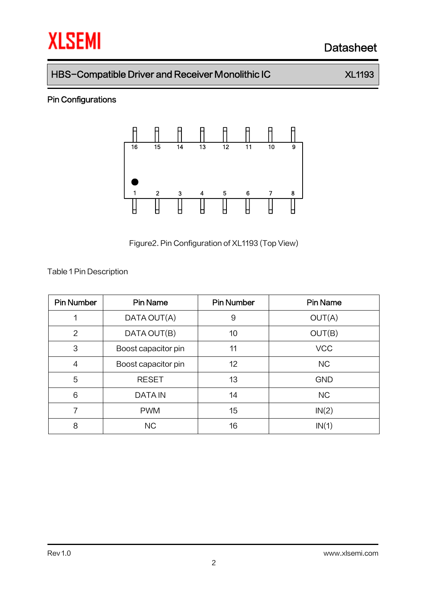# **XLSEMI** Datasheet

## HBS-Compatible Driver and Receiver Monolithic IC XL1193

## Pin Configurations



Figure2.Pin Configuration of XL1193 (Top View)

Table 1Pin Description

| <b>Pin Number</b> | <b>Pin Name</b>     | <b>Pin Number</b> | <b>Pin Name</b> |
|-------------------|---------------------|-------------------|-----------------|
|                   | DATA OUT(A)         | 9                 | OUT(A)          |
| $\overline{2}$    | DATA OUT(B)         | 10                | OUT(B)          |
| 3                 | Boost capacitor pin | 11                | <b>VCC</b>      |
| $\overline{4}$    | Boost capacitor pin | 12                | <b>NC</b>       |
| 5                 | <b>RESET</b>        | 13                | <b>GND</b>      |
| 6                 | <b>DATA IN</b>      | 14                | <b>NC</b>       |
| 7                 | <b>PWM</b>          | 15                | IN(2)           |
| 8                 | <b>NC</b>           | 16                | IN(1)           |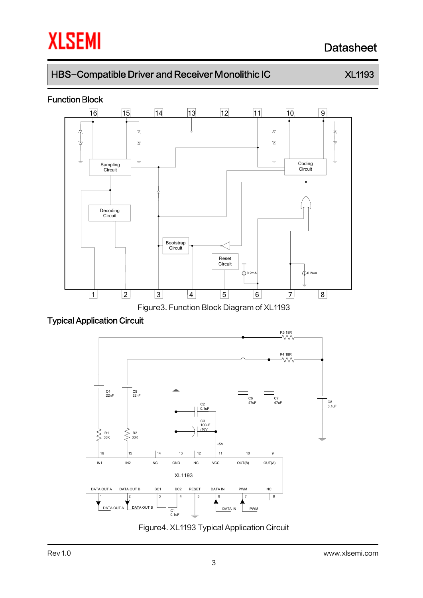# **XLSEMI** Datasheet

# HBS-Compatible Driver and Receiver Monolithic IC XL1193

### Function Block



Figure3. Function Block Diagram of XL1193





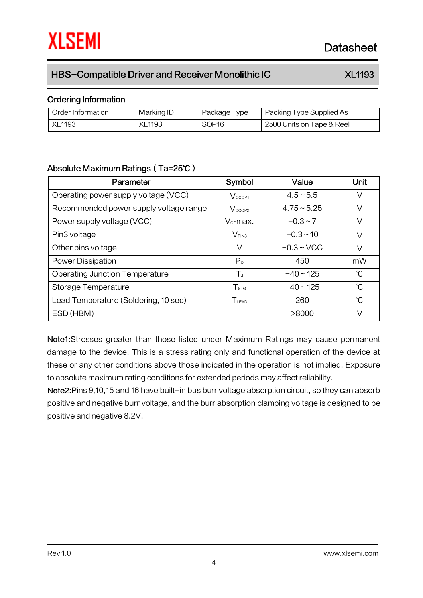### Ordering Information

| Order Information | Marking ID    | Package Type      | Packing Type Supplied As  |
|-------------------|---------------|-------------------|---------------------------|
| <b>XL1193</b>     | <b>XL1193</b> | SOP <sub>16</sub> | 2500 Units on Tape & Reel |

### Absolute Maximum Ratings(Ta=25℃)

| Parameter                              | Symbol                            | Value         | Unit          |
|----------------------------------------|-----------------------------------|---------------|---------------|
| Operating power supply voltage (VCC)   | V <sub>CCOP1</sub>                | $4.5 - 5.5$   | V             |
| Recommended power supply voltage range | V <sub>CCOP2</sub>                | $4.75 - 5.25$ | V             |
| Power supply voltage (VCC)             | $V_{cc}$ max.                     | $-0.3 - 7$    | V             |
| Pin3 voltage                           | $V_{PIN3}$                        | $-0.3 - 10$   | V             |
| Other pins voltage                     | V                                 | $-0.3 - VCC$  | V             |
| <b>Power Dissipation</b>               | P <sub>D</sub>                    | 450           | mW            |
| <b>Operating Junction Temperature</b>  | ΤJ                                | $-40 - 125$   | °C            |
| Storage Temperature                    | $T_{\text{STG}}$                  | $-40 - 125$   | °C            |
| Lead Temperature (Soldering, 10 sec)   | $T_{\scriptscriptstyle \rm LEAD}$ | 260           | $\mathcal{C}$ |
| ESD (HBM)                              |                                   | >8000         | V             |

Note1:Stresses greater than those listed under Maximum Ratings may cause permanent damage to the device. This is a stress rating only and functional operation of the device at these or any other conditions above those indicated in the operation is not implied. Exposure to absolute maximum rating conditions for extended periods may affect reliability.

Note2: Pins 9,10,15 and 16 have built-in bus burr voltage absorption circuit, so they can absorb positive and negative burr voltage, and the burr absorption clamping voltage is designed to be positive and negative 8.2V.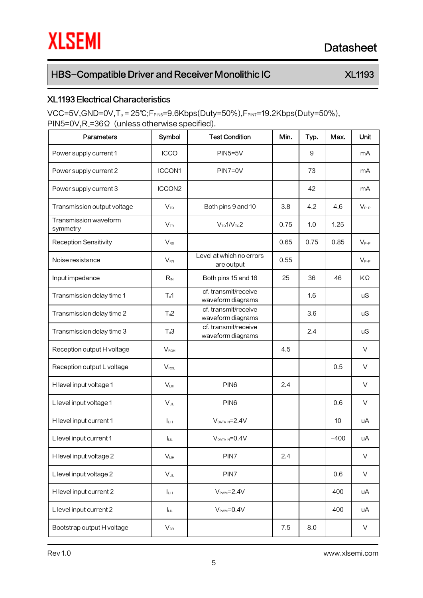## XL1193 Electrical Characteristics

 $VCC=5V$ ,GND=0V,T<sub>a</sub> = 25°C;F<sub>PIN6</sub>=9.6Kbps(Duty=50%),F<sub>PIN7</sub>=19.2Kbps(Duty=50%), PIN5=0V,RL=36Ω (unless otherwise specified).

| Parameters                        | Symbol<br><b>Test Condition</b>      |                                           | Min. | Typ. | Max.   | Unit      |
|-----------------------------------|--------------------------------------|-------------------------------------------|------|------|--------|-----------|
| Power supply current 1            | <b>ICCO</b>                          | $PIN5=5V$                                 |      | 9    |        | mA        |
| Power supply current 2            | <b>ICCON1</b>                        | $PIN7=0V$                                 |      | 73   |        | mA        |
| Power supply current 3            | ICCON2                               |                                           |      | 42   |        | mA        |
| Transmission output voltage       | $V_{\text{TO}}$                      | Both pins 9 and 10                        | 3.8  | 4.2  | 4.6    | $V_{P-P}$ |
| Transmission waveform<br>symmetry | $V_{\text{TR}}$                      | $V_{\text{TO}}1/V_{\text{TO}}2$           | 0.75 | 1.0  | 1.25   |           |
| <b>Reception Sensitivity</b>      | $V_{RS}$                             |                                           | 0.65 | 0.75 | 0.85   | $V_{P-P}$ |
| Noise resistance                  | $V_{RN}$                             | Level at which no errors<br>are output    | 0.55 |      |        | $V_{P-P}$ |
| Input impedance                   | $R_{\scriptscriptstyle\rm IN}$       | Both pins 15 and 16                       | 25   | 36   | 46     | KΩ        |
| Transmission delay time 1         | $T_d$ 1                              | cf. transmit/receive<br>waveform diagrams |      | 1.6  |        | uS        |
| Transmission delay time 2         | $T_d2$                               | cf. transmit/receive<br>waveform diagrams |      | 3.6  |        | uS        |
| Transmission delay time 3         | $T_d3$                               | cf. transmit/receive<br>waveform diagrams |      | 2.4  |        | uS        |
| Reception output H voltage        | $V_{ROH}$                            |                                           | 4.5  |      |        | $\vee$    |
| Reception output L voltage        | $V_{\text{ROL}}$                     |                                           |      |      | 0.5    | $\vee$    |
| H level input voltage 1           | $V_{LIH}$                            | PIN <sub>6</sub>                          | 2.4  |      |        | V         |
| L level input voltage 1           | $V_{LL}$                             | PIN <sub>6</sub>                          |      |      | 0.6    | V         |
| H level input current 1           | $I_{LH}$                             | $V_{DATAIN} = 2.4V$                       |      |      | 10     | uA        |
| L level input current 1           | Iш.                                  | $V_{DATAIN} = 0.4V$                       |      |      | $-400$ | uA        |
| H level input voltage 2           | $V_{LIH}$<br>PIN7                    |                                           | 2.4  |      |        | V         |
| L level input voltage 2           | $V_{LL}$                             | PIN7                                      |      |      | 0.6    | V         |
| H level input current 2           | $I_{LIH}$                            | $VPWM=2.4V$                               |      |      | 400    | uA        |
| L level input current 2           | $V_{\text{PWM}} = 0.4V$<br><b>LL</b> |                                           |      | 400  | uA     |           |
| Bootstrap output H voltage        | $V_{\text{\tiny BR}}$                |                                           | 7.5  | 8.0  |        | V         |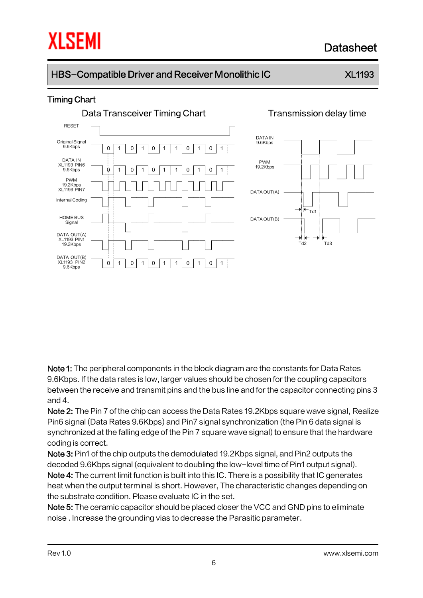# **THE SEMI EXECUTE:** The Datasheet

# HBS-Compatible Driver and Receiver Monolithic IC XL1193

## Timing Chart



Note 1: The peripheral components in the block diagram are the constants for Data Rates 9.6Kbps. If the data rates is low, larger values should be chosen for the coupling capacitors between the receive and transmit pins and the bus line and for the capacitor connecting pins 3 and 4.

Note 2: The Pin 7 of the chip can access the Data Rates 19.2Kbps square wave signal, Realize Pin6 signal (Data Rates 9.6Kbps) and Pin7 signal synchronization (the Pin 6 data signal is synchronized at the falling edge of the Pin 7 square wave signal) to ensure that the hardware coding is correct.

Note 3: Pin1 of the chip outputs the demodulated 19.2Kbps signal, and Pin2 outputs the decoded 9.6Kbps signal (equivalent to doubling the low-level time of Pin1 output signal). Note 4: The current limit function is built into this IC. There is a possibility that IC generates heat when the output terminal is short. However, The characteristic changes depending on the substrate condition. Please evaluate IC in the set.

Note 5: The ceramic capacitor should be placed closer the VCC and GND pins to eliminate noise . Increase the grounding vias to decrease the Parasitic parameter.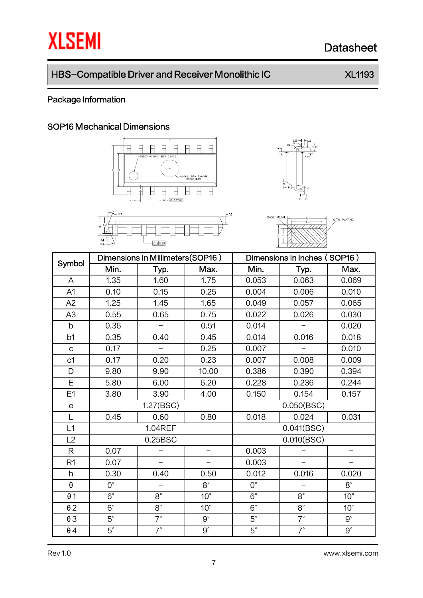# **XLSEMI** Datasheet

# HBS-Compatible Driver and Receiver Monolithic IC XL1193

## Package Information

### SOP16 Mechanical Dimensions







| Symbol         | Dimensions In Millimeters(SOP16) |                          |              | Dimensions In Inches (SOP16) |                |              |  |
|----------------|----------------------------------|--------------------------|--------------|------------------------------|----------------|--------------|--|
|                | Min.                             | Typ.                     | Max.         | Min.                         | Typ.           | Max.         |  |
| A              | 1.35                             | 1.60                     | 1.75         | 0.053                        | 0.063          | 0.069        |  |
| A1             | 0.10                             | 0.15                     | 0.25         | 0.004                        | 0.006          | 0.010        |  |
| A2             | 1.25                             | 1.45                     | 1.65         | 0.049                        | 0.057          | 0.065        |  |
| A3             | 0.55                             | 0.65                     | 0.75         | 0.022                        | 0.026          | 0.030        |  |
| $\mathsf b$    | 0.36                             | $\overline{\phantom{0}}$ | 0.51         | 0.014                        |                | 0.020        |  |
| b1             | 0.35                             | 0.40                     | 0.45         | 0.014                        | 0.016          | 0.018        |  |
| $\mathbf C$    | 0.17                             |                          | 0.25         | 0.007                        |                | 0.010        |  |
| c <sub>1</sub> | 0.17                             | 0.20                     | 0.23         | 0.007                        | 0.008          | 0.009        |  |
| D              | 9.80                             | 9.90                     | 10.00        | 0.386                        | 0.390          | 0.394        |  |
| E              | 5.80                             | 6.00                     | 6.20         | 0.228                        | 0.236          | 0.244        |  |
| E1             | 3.80                             | 3.90                     | 4.00         | 0.150                        | 0.154          | 0.157        |  |
| е              |                                  | 1.27(BSC)                |              | 0.050(BSC)                   |                |              |  |
| L              | 0.45                             | 0.60                     | 0.80         | 0.031<br>0.018<br>0.024      |                |              |  |
| L1             |                                  | <b>1.04REF</b>           |              |                              | 0.041(BSC)     |              |  |
| L2             | 0.25BSC                          |                          |              | 0.010(BSC)                   |                |              |  |
| $\mathsf{R}$   | 0.07                             |                          |              | 0.003                        |                |              |  |
| R <sub>1</sub> | 0.07                             |                          |              | 0.003                        |                |              |  |
| h              | 0.30                             | 0.40                     | 0.50         | 0.012                        | 0.016<br>0.020 |              |  |
| θ              | $0^{\circ}$                      |                          | $8^{\circ}$  | $0^{\circ}$                  | $8^{\circ}$    |              |  |
| $\theta$ 1     | $6^{\circ}$                      | $8^{\circ}$              | $10^{\circ}$ | $6^{\circ}$                  | $8^{\circ}$    | $10^{\circ}$ |  |
| $\theta$ 2     | $6^{\circ}$                      | $8^{\circ}$              | $10^{\circ}$ | $6^{\circ}$                  | $8^{\circ}$    | $10^{\circ}$ |  |
| $\theta$ 3     | $5^{\circ}$                      | $7^\circ$                | $9^{\circ}$  | $5^{\circ}$                  | $7^\circ$      | $9^{\circ}$  |  |
| $\theta$ 4     | $5^\circ$                        | $7^\circ$                | $9^{\circ}$  | $5^{\circ}$                  | $7^\circ$      | $9^{\circ}$  |  |